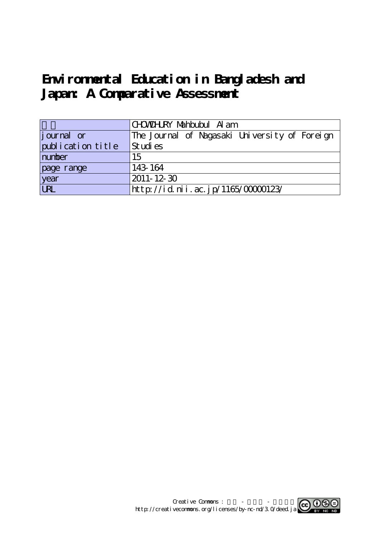# Environmental Education in Bangladesh and **Japan: A Comparative Assessment**

|                   | CHWOHLRY Nahbubul Alam                        |  |  |  |  |  |
|-------------------|-----------------------------------------------|--|--|--|--|--|
| journal or        | The Journal of Nagasaki University of Foreign |  |  |  |  |  |
| publication title | Studies                                       |  |  |  |  |  |
| number            | 15                                            |  |  |  |  |  |
| page range        | 143-164                                       |  |  |  |  |  |
| year<br>URL       | $ 2011 - 12 - 30 $                            |  |  |  |  |  |
|                   | http://id.nii.ac.jp/1165/00000123/            |  |  |  |  |  |

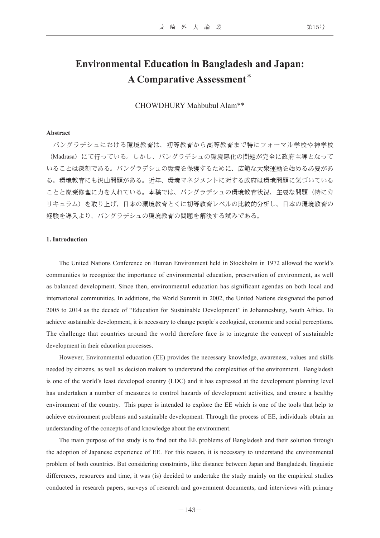# **Environmental Education in Bangladesh and Japan: A Comparative Assessment**\*

CHOWDHURY Mahbubul Alam\*\*

# **Abstract**

 バングラデシュにおける環境教育は、初等教育から高等教育まで特にフォーマル学校や神学校 (Madrasa)にて行っている。しかし、バングラデシュの環境悪化の問題が完全に政府主導となって いることは深刻である。バングラデシュの環境を保護するために、広範な大衆運動を始める必要があ る。環境教育にも沢山問題がある。近年、環境マネジメントに対する政府は環境問題に気づいている ことと廃棄修理に力を入れている。本稿では、バングラデシュの環境教育状況、主要な問題(特にカ リキュラム)を取り上げ、日本の環境教育とくに初等教育レベルの比較的分析し、日本の環境教育の 経験を導入より、バングラデシュの環境教育の問題を解決する試みである。

#### **1. Introduction**

The United Nations Conference on Human Environment held in Stockholm in 1972 allowed the world's communities to recognize the importance of environmental education, preservation of environment, as well as balanced development. Since then, environmental education has significant agendas on both local and international communities. In additions, the World Summit in 2002, the United Nations designated the period 2005 to 2014 as the decade of "Education for Sustainable Development" in Johannesburg, South Africa. To achieve sustainable development, it is necessary to change people's ecological, economic and social perceptions. The challenge that countries around the world therefore face is to integrate the concept of sustainable development in their education processes.

However, Environmental education (EE) provides the necessary knowledge, awareness, values and skills needed by citizens, as well as decision makers to understand the complexities of the environment. Bangladesh is one of the world's least developed country (LDC) and it has expressed at the development planning level has undertaken a number of measures to control hazards of development activities, and ensure a healthy environment of the country. This paper is intended to explore the EE which is one of the tools that help to achieve environment problems and sustainable development. Through the process of EE, individuals obtain an understanding of the concepts of and knowledge about the environment.

The main purpose of the study is to find out the EE problems of Bangladesh and their solution through the adoption of Japanese experience of EE. For this reason, it is necessary to understand the environmental problem of both countries. But considering constraints, like distance between Japan and Bangladesh, linguistic differences, resources and time, it was (is) decided to undertake the study mainly on the empirical studies conducted in research papers, surveys of research and government documents, and interviews with primary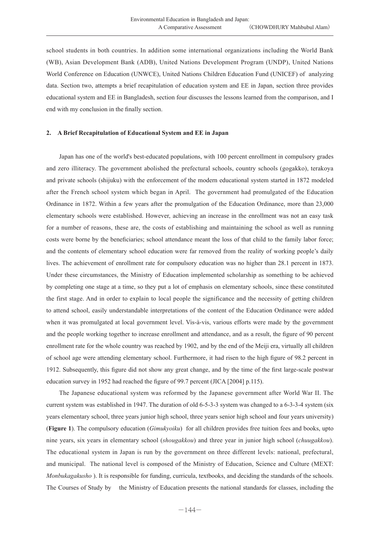school students in both countries. In addition some international organizations including the World Bank (WB), Asian Development Bank (ADB), United Nations Development Program (UNDP), United Nations World Conference on Education (UNWCE), United Nations Children Education Fund (UNICEF) of analyzing data. Section two, attempts a brief recapitulation of education system and EE in Japan, section three provides educational system and EE in Bangladesh, section four discusses the lessons learned from the comparison, and I end with my conclusion in the finally section.

#### **2. A Brief Recapitulation of Educational System and EE in Japan**

Japan has one of the world's best-educated populations, with 100 percent enrollment in compulsory grades and zero illiteracy. The government abolished the prefectural schools, country schools (gogakko), terakoya and private schools (shijuku) with the enforcement of the modern educational system started in 1872 modeled after the French school system which began in April. The government had promulgated of the Education Ordinance in 1872. Within a few years after the promulgation of the Education Ordinance, more than 23,000 elementary schools were established. However, achieving an increase in the enrollment was not an easy task for a number of reasons, these are, the costs of establishing and maintaining the school as well as running costs were borne by the beneficiaries; school attendance meant the loss of that child to the family labor force; and the contents of elementary school education were far removed from the reality of working people's daily lives. The achievement of enrollment rate for compulsory education was no higher than 28.1 percent in 1873. Under these circumstances, the Ministry of Education implemented scholarship as something to be achieved by completing one stage at a time, so they put a lot of emphasis on elementary schools, since these constituted the first stage. And in order to explain to local people the significance and the necessity of getting children to attend school, easily understandable interpretations of the content of the Education Ordinance were added when it was promulgated at local government level. Vis-à-vis, various efforts were made by the government and the people working together to increase enrollment and attendance, and as a result, the figure of 90 percent enrollment rate for the whole country was reached by 1902, and by the end of the Meiji era, virtually all children of school age were attending elementary school. Furthermore, it had risen to the high figure of 98.2 percent in 1912. Subsequently, this figure did not show any great change, and by the time of the first large-scale postwar education survey in 1952 had reached the figure of 99.7 percent (JICA [2004] p.115).

The Japanese educational system was reformed by the Japanese government after World War II. The current system was established in 1947. The duration of old 6-5-3-3 system was changed to a 6-3-3-4 system (six years elementary school, three years junior high school, three years senior high school and four years university) (**Figure 1**). The compulsory education (*Gimukyoiku*) for all children provides free tuition fees and books, upto nine years, six years in elementary school (*shougakkou*) and three year in junior high school (*chuugakkou*). The educational system in Japan is run by the government on three different levels: national, prefectural, and municipal. The national level is composed of the Ministry of Education, Science and Culture (MEXT: *Monbukagakusho* ). It is responsible for funding, curricula, textbooks, and deciding the standards of the schools. The Courses of Study by the Ministry of Education presents the national standards for classes, including the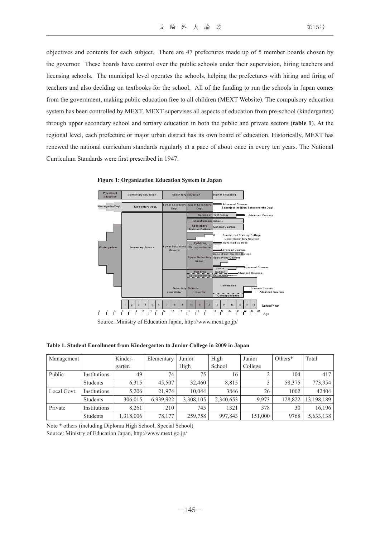objectives and contents for each subject. There are 47 prefectures made up of 5 member boards chosen by the governor. These boards have control over the public schools under their supervision, hiring teachers and licensing schools. The municipal level operates the schools, helping the prefectures with hiring and firing of teachers and also deciding on textbooks for the school. All of the funding to run the schools in Japan comes from the government, making public education free to all children (MEXT Website). The compulsory education system has been controlled by MEXT. MEXT supervises all aspects of education from pre-school (kindergarten) through upper secondary school and tertiary education in both the public and private sectors (**table 1**). At the regional level, each prefecture or major urban district has its own board of education. Historically, MEXT has renewed the national curriculum standards regularly at a pace of about once in every ten years. The National Curriculum Standards were first prescribed in 1947.



**Figure 1: Organization Education System in Japan**

Source: Ministry of Education Japan, http://www.mext.go.jp/

#### **Table 1. Student Enrollment from Kindergarten to Junior College in 2009 in Japan**

| Management  |                 | Kinder-   | Elementary | Junior    | High      | Junior  | Others* | Total      |
|-------------|-----------------|-----------|------------|-----------|-----------|---------|---------|------------|
|             |                 | garten    |            | High      | School    | College |         |            |
| Public      | Institutions    | 49        | 74         | 75        | 16        |         | 104     | 417        |
|             | <b>Students</b> | 6,315     | 45.507     | 32,460    | 8,815     |         | 58,375  | 773,954    |
| Local Govt. | Institutions    | 5.206     | 21.974     | 10.044    | 3846      | 26      | 1002    | 42404      |
|             | Students        | 306,015   | 6,939,922  | 3,308,105 | 2,340,653 | 9,973   | 128,822 | 13,198,189 |
| Private     | Institutions    | 8.261     | 210        | 745       | 1321      | 378     | 30      | 16,196     |
|             | <b>Students</b> | 1,318,006 | 78,177     | 259,758   | 997,843   | 151,000 | 9768    | 5,633,138  |

Note \* others (including Diploma High School, Special School) Source: Ministry of Education Japan, http://www.mext.go.jp/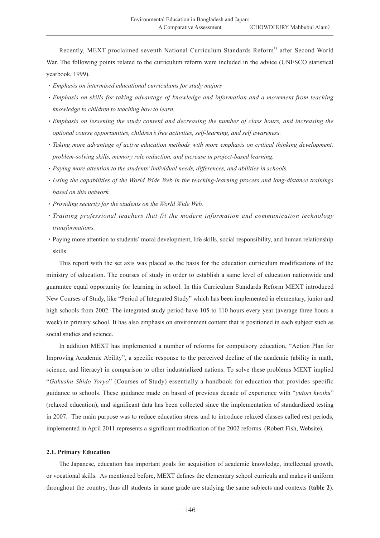Recently, MEXT proclaimed seventh National Curriculum Standards Reform<sup>1)</sup> after Second World War. The following points related to the curriculum reform were included in the advice (UNESCO statistical yearbook, 1999).

- ・*Emphasis on intermixed educational curriculums for study majors*
- ・*Emphasis on skills for taking advantage of knowledge and information and a movement from teaching knowledge to children to teaching how to learn.*
- ・*Emphasis on lessening the study content and decreasing the number of class hours, and increasing the optional course opportunities, children's free activities, self-learning, and self awareness.*
- ・*Taking more advantage of active education methods with more emphasis on critical thinking development, problem-solving skills, memory role reduction, and increase in project-based learning.*
- ・*Paying more attention to the students' individual needs, differences, and abilities in schools.*
- ・*Using the capabilities of the World Wide Web in the teaching-learning process and long-distance trainings based on this network.*
- ・*Providing security for the students on the World Wide Web.*
- ・*Training professional teachers that fit the modern information and communication technology transformations.*
- ・Paying more attention to students' moral development, life skills, social responsibility, and human relationship skills.

This report with the set axis was placed as the basis for the education curriculum modifications of the ministry of education. The courses of study in order to establish a same level of education nationwide and guarantee equal opportunity for learning in school. In this Curriculum Standards Reform MEXT introduced New Courses of Study, like "Period of Integrated Study" which has been implemented in elementary, junior and high schools from 2002. The integrated study period have 105 to 110 hours every year (average three hours a week) in primary school. It has also emphasis on environment content that is positioned in each subject such as social studies and science.

In addition MEXT has implemented a number of reforms for compulsory education, "Action Plan for Improving Academic Ability", a specific response to the perceived decline of the academic (ability in math, science, and literacy) in comparison to other industrialized nations. To solve these problems MEXT implied "*Gakushu Shido Yoryo*" (Courses of Study) essentially a handbook for education that provides specific guidance to schools. These guidance made on based of previous decade of experience with "*yutori kyoiku*" (relaxed education), and significant data has been collected since the implementation of standardized testing in 2007. The main purpose was to reduce education stress and to introduce relaxed classes called rest periods, implemented in April 2011 represents a significant modification of the 2002 reforms. (Robert Fish, Website).

#### **2.1. Primary Education**

The Japanese, education has important goals for acquisition of academic knowledge, intellectual growth, or vocational skills. As mentioned before, MEXT defines the elementary school curricula and makes it uniform throughout the country, thus all students in same grade are studying the same subjects and contexts (**table 2**).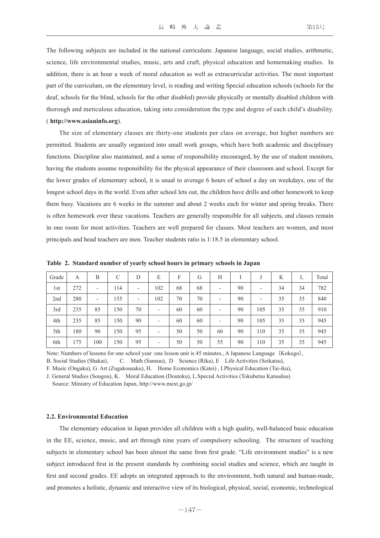The following subjects are included in the national curriculum: Japanese language, social studies, arithmetic, science, life environmental studies, music, arts and craft, physical education and homemaking studies. In addition, there is an hour a week of moral education as well as extracurricular activities. The most important part of the curriculum, on the elementary level, is reading and writing Special education schools (schools for the deaf, schools for the blind, schools for the other disabled) provide physically or mentally disabled children with thorough and meticulous education, taking into consideration the type and degree of each child's disability. ( **http://www.asianinfo.org**).

The size of elementary classes are thirty-one students per class on average, but higher numbers are permitted. Students are usually organized into small work groups, which have both academic and disciplinary functions. Discipline also maintained, and a sense of responsibility encouraged, by the use of student monitors, having the students assume responsibility for the physical appearance of their classroom and school. Except for the lower grades of elementary school, it is usual to average 6 hours of school a day on weekdays, one of the longest school days in the world. Even after school lets out, the children have drills and other homework to keep them busy. Vacations are 6 weeks in the summer and about 2 weeks each for winter and spring breaks. There is often homework over these vacations. Teachers are generally responsible for all subjects, and classes remain in one room for most activities. Teachers are well prepared for classes. Most teachers are women, and most principals and head teachers are men. Teacher students ratio is 1:18.5 in elementary school.

| Grade | A   | B                        | C   | D                        | E                        | F  | G  | H                        |    |                          | K  | L  | Total |
|-------|-----|--------------------------|-----|--------------------------|--------------------------|----|----|--------------------------|----|--------------------------|----|----|-------|
| 1st   | 272 | $\overline{\phantom{a}}$ | 114 | $\overline{\phantom{a}}$ | 102                      | 68 | 68 | $\overline{\phantom{a}}$ | 90 | $\overline{\phantom{0}}$ | 34 | 34 | 782   |
| 2nd   | 280 | $\overline{\phantom{a}}$ | 155 | -                        | 102                      | 70 | 70 | -                        | 90 | $\overline{\phantom{0}}$ | 35 | 35 | 840   |
| 3rd   | 235 | 85                       | 150 | 70                       | $\overline{\phantom{a}}$ | 60 | 60 | -                        | 90 | 105                      | 35 | 35 | 910   |
| 4th   | 235 | 85                       | 150 | 90                       | $\overline{\phantom{a}}$ | 60 | 60 | -                        | 90 | 105                      | 35 | 35 | 945   |
| 5th   | 180 | 90                       | 150 | 95                       | $\overline{\phantom{a}}$ | 50 | 50 | 60                       | 90 | 110                      | 35 | 35 | 945   |
| 6th   | 175 | 100                      | 150 | 95                       | -                        | 50 | 50 | 55                       | 90 | 110                      | 35 | 35 | 945   |

**Table 2. Standard number of yearly school hours in primary schools in Japan**

Note: Numbers of lessons for one school year :one lesson unit is 45 minutes., A Japanese Language (Kokugo),

B. Social Studies (Shakai), C. Math (Sansuu), D Science (Rika), E Life Activities (Seikatsu),

F. Music (Ongaku), G. Art (Zugakousaku), H. Home Economics (Katei) , I.Physical Education (Tai-iku),

J. General Studies (Sougou), K. Moral Education (Doutoku), L.Special Activities (Tokubetsu Katsudou)

Source: Ministry of Education Japan, http://www.mext.go.jp/

#### **2.2. Environmental Education**

The elementary education in Japan provides all children with a high quality, well-balanced basic education in the EE, science, music, and art through nine years of compulsory schooling. The structure of teaching subjects in elementary school has been almost the same from first grade. "Life environment studies" is a new subject introduced first in the present standards by combining social studies and science, which are taught in first and second grades. EE adopts an integrated approach to the environment, both natural and human-made, and promotes a holistic, dynamic and interactive view of its biological, physical, social, economic, technological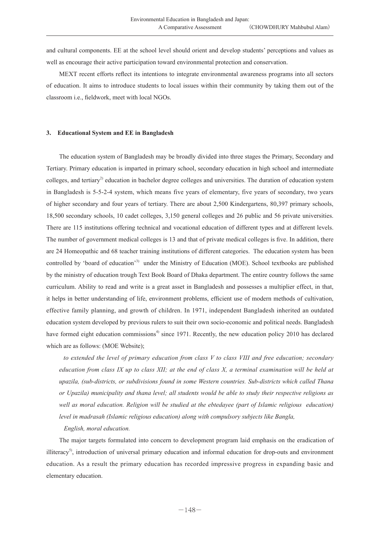and cultural components. EE at the school level should orient and develop students' perceptions and values as well as encourage their active participation toward environmental protection and conservation.

MEXT recent efforts reflect its intentions to integrate environmental awareness programs into all sectors of education. It aims to introduce students to local issues within their community by taking them out of the classroom i.e., fieldwork, meet with local NGOs.

## **3. Educational System and EE in Bangladesh**

The education system of Bangladesh may be broadly divided into three stages the Primary, Secondary and Tertiary. Primary education is imparted in primary school, secondary education in high school and intermediate colleges, and tertiary<sup>2)</sup> education in bachelor degree colleges and universities. The duration of education system in Bangladesh is 5-5-2-4 system, which means five years of elementary, five years of secondary, two years of higher secondary and four years of tertiary. There are about 2,500 Kindergartens, 80,397 primary schools, 18,500 secondary schools, 10 cadet colleges, 3,150 general colleges and 26 public and 56 private universities. There are 115 institutions offering technical and vocational education of different types and at different levels. The number of government medical colleges is 13 and that of private medical colleges is five. In addition, there are 24 Homeopathic and 68 teacher training institutions of different categories. The education system has been controlled by 'board of education'3) under the Ministry of Education (MOE). School textbooks are published by the ministry of education trough Text Book Board of Dhaka department. The entire country follows the same curriculum. Ability to read and write is a great asset in Bangladesh and possesses a multiplier effect, in that, it helps in better understanding of life, environment problems, efficient use of modern methods of cultivation, effective family planning, and growth of children. In 1971, independent Bangladesh inherited an outdated education system developed by previous rulers to suit their own socio-economic and political needs. Bangladesh have formed eight education commissions<sup>4</sup>) since 1971. Recently, the new education policy 2010 has declared which are as follows: (MOE Website);

 *to extended the level of primary education from class V to class VIII and free education; secondary education from class IX up to class XII; at the end of class X, a terminal examination will be held at upazila, (sub-districts, or subdivisions found in some Western countries. Sub-districts which called Thana or Upazila) municipality and thana level; all students would be able to study their respective religions as well as moral education. Religion will be studied at the ebtedayee (part of Islamic religious education) level in madrasah (Islamic religious education) along with compulsory subjects like Bangla,* 

#### *English, moral education.*

The major targets formulated into concern to development program laid emphasis on the eradication of illiteracy<sup>5)</sup>, introduction of universal primary education and informal education for drop-outs and environment education. As a result the primary education has recorded impressive progress in expanding basic and elementary education.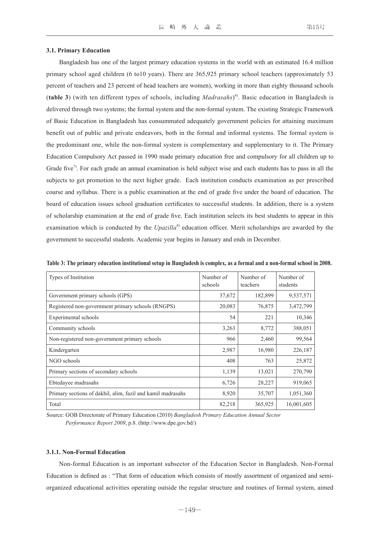#### **3.1. Primary Education**

Bangladesh has one of the largest primary education systems in the world with an estimated 16.4 million primary school aged children (6 to10 years). There are 365,925 primary school teachers (approximately 53 percent of teachers and 23 percent of head teachers are women), working in more than eighty thousand schools (**table 3**) (with ten different types of schools, including *Madrasahs*) 6). Basic education in Bangladesh is delivered through two systems; the formal system and the non-formal system. The existing Strategic Framework of Basic Education in Bangladesh has consummated adequately government policies for attaining maximum benefit out of public and private endeavors, both in the formal and informal systems. The formal system is the predominant one, while the non-formal system is complementary and supplementary to it. The Primary Education Compulsory Act passed in 1990 made primary education free and compulsory for all children up to Grade five<sup>7</sup>. For each grade an annual examination is held subject wise and each students has to pass in all the subjects to get promotion to the next higher grade. Each institution conducts examination as per prescribed course and syllabus. There is a public examination at the end of grade five under the board of education. The board of education issues school graduation certificates to successful students. In addition, there is a system of scholarship examination at the end of grade five. Each institution selects its best students to appear in this examination which is conducted by the *Upazilla*<sup>8)</sup> education officer. Merit scholarships are awarded by the government to successful students. Academic year begins in January and ends in December.

| Types of Institution                                        | Number of<br>schools | Number of<br>teachers | Number of<br>students |
|-------------------------------------------------------------|----------------------|-----------------------|-----------------------|
| Government primary schools (GPS)                            | 37,672               | 182,899               | 9,537,571             |
| Registered non-government primary schools (RNGPS)           | 20,083               | 76,875                | 3,472,799             |
| Experimental schools                                        | 54                   | 221                   | 10,346                |
| Community schools                                           | 3,263                | 8,772                 | 388,051               |
| Non-registered non-government primary schools               | 966                  | 2,460                 | 99,564                |
| Kindergarten                                                | 2,987                | 16,980                | 226,187               |
| NGO schools                                                 | 408                  | 763                   | 25,872                |
| Primary sections of secondary schools                       | 1,139                | 13,021                | 270,790               |
| Ebtedayee madrasahs                                         | 6,726                | 28,227                | 919,065               |
| Primary sections of dakhil, alim, fazil and kamil madrasahs | 8,920                | 35,707                | 1,051,360             |
| Total                                                       | 82,218               | 365,925               | 16,001,605            |

**Table 3: The primary education institutional setup in Bangladesh is complex, as a formal and a non-formal school in 2008.**

Source: GOB Directorate of Primary Education (2010) *Bangladesh Primary Education Annual Sector Performance Report 2009*, p.8. (http://www.dpe.gov.bd/)

# **3.1.1. Non-Formal Education**

Non-formal Education is an important subsector of the Education Sector in Bangladesh. Non-Formal Education is defined as : "That form of education which consists of mostly assortment of organized and semiorganized educational activities operating outside the regular structure and routines of formal system, aimed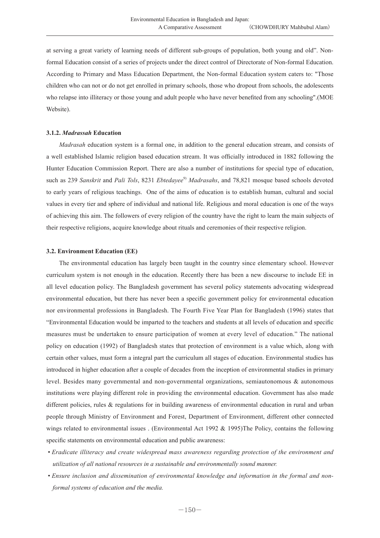at serving a great variety of learning needs of different sub-groups of population, both young and old". Nonformal Education consist of a series of projects under the direct control of Directorate of Non-formal Education. According to Primary and Mass Education Department, the Non-formal Education system caters to: "Those children who can not or do not get enrolled in primary schools, those who dropout from schools, the adolescents who relapse into illiteracy or those young and adult people who have never benefited from any schooling".(MOE Website).

# **3.1.2.** *Madrassah* **Education**

*Madrasah* education system is a formal one, in addition to the general education stream, and consists of a well established Islamic religion based education stream. It was officially introduced in 1882 following the Hunter Education Commission Report. There are also a number of institutions for special type of education, such as 239 *Sanskrit* and *Pali Tols*, 8231 *Ebtedayee<sup>9</sup> Madrasahs*, and 78,821 mosque based schools devoted to early years of religious teachings. One of the aims of education is to establish human, cultural and social values in every tier and sphere of individual and national life. Religious and moral education is one of the ways of achieving this aim. The followers of every religion of the country have the right to learn the main subjects of their respective religions, acquire knowledge about rituals and ceremonies of their respective religion.

#### **3.2. Environment Education (EE)**

The environmental education has largely been taught in the country since elementary school. However curriculum system is not enough in the education. Recently there has been a new discourse to include EE in all level education policy. The Bangladesh government has several policy statements advocating widespread environmental education, but there has never been a specific government policy for environmental education nor environmental professions in Bangladesh. The Fourth Five Year Plan for Bangladesh (1996) states that "Environmental Education would be imparted to the teachers and students at all levels of education and specific measures must be undertaken to ensure participation of women at every level of education." The national policy on education (1992) of Bangladesh states that protection of environment is a value which, along with certain other values, must form a integral part the curriculum all stages of education. Environmental studies has introduced in higher education after a couple of decades from the inception of environmental studies in primary level. Besides many governmental and non-governmental organizations, semiautonomous & autonomous institutions were playing different role in providing the environmental education. Government has also made different policies, rules & regulations for in building awareness of environmental education in rural and urban people through Ministry of Environment and Forest, Department of Environment, different other connected wings related to environmental issues . (Environmental Act 1992 & 1995)The Policy, contains the following specific statements on environmental education and public awareness:

- *Eradicate illiteracy and create widespread mass awareness regarding protection of the environment and utilization of all national resources in a sustainable and environmentally sound manner.*
- *Ensure inclusion and dissemination of environmental knowledge and information in the formal and nonformal systems of education and the media.*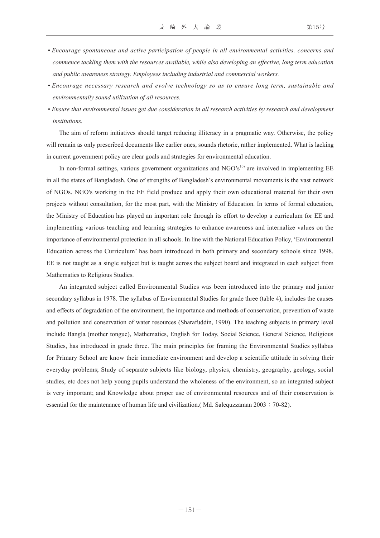- *Encourage spontaneous and active participation of people in all environmental activities. concerns and commence tackling them with the resources available, while also developing an effective, long term education and public awareness strategy. Employees including industrial and commercial workers.*
- *Encourage necessary research and evolve technology so as to ensure long term, sustainable and environmentally sound utilization of all resources.*
- *Ensure that environmental issues get due consideration in all research activities by research and development institutions.*

The aim of reform initiatives should target reducing illiteracy in a pragmatic way. Otherwise, the policy will remain as only prescribed documents like earlier ones, sounds rhetoric, rather implemented. What is lacking in current government policy are clear goals and strategies for environmental education.

In non-formal settings, various government organizations and  $NGO's<sup>10</sup>$  are involved in implementing EE in all the states of Bangladesh. One of strengths of Bangladesh's environmental movements is the vast network of NGOs. NGO's working in the EE field produce and apply their own educational material for their own projects without consultation, for the most part, with the Ministry of Education. In terms of formal education, the Ministry of Education has played an important role through its effort to develop a curriculum for EE and implementing various teaching and learning strategies to enhance awareness and internalize values on the importance of environmental protection in all schools. In line with the National Education Policy, 'Environmental Education across the Curriculum' has been introduced in both primary and secondary schools since 1998. EE is not taught as a single subject but is taught across the subject board and integrated in each subject from Mathematics to Religious Studies.

An integrated subject called Environmental Studies was been introduced into the primary and junior secondary syllabus in 1978. The syllabus of Environmental Studies for grade three (table 4), includes the causes and effects of degradation of the environment, the importance and methods of conservation, prevention of waste and pollution and conservation of water resources (Sharafuddin, 1990). The teaching subjects in primary level include Bangla (mother tongue), Mathematics, English for Today, Social Science, General Science, Religious Studies, has introduced in grade three. The main principles for framing the Environmental Studies syllabus for Primary School are know their immediate environment and develop a scientific attitude in solving their everyday problems; Study of separate subjects like biology, physics, chemistry, geography, geology, social studies, etc does not help young pupils understand the wholeness of the environment, so an integrated subject is very important; and Knowledge about proper use of environmental resources and of their conservation is essential for the maintenance of human life and civilization.( Md. Salequzzaman 2003: 70-82).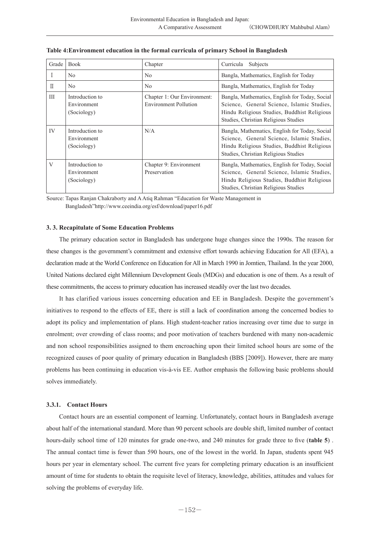| Grade            | <b>Book</b>                                   | Chapter                                                     | Subjects<br>Curricula                                                                                                                                                               |
|------------------|-----------------------------------------------|-------------------------------------------------------------|-------------------------------------------------------------------------------------------------------------------------------------------------------------------------------------|
| I                | No                                            | No.                                                         | Bangla, Mathematics, English for Today                                                                                                                                              |
| $\overline{\Pi}$ | N <sub>0</sub>                                | N <sub>0</sub>                                              | Bangla, Mathematics, English for Today                                                                                                                                              |
| Ш                | Introduction to<br>Environment<br>(Sociology) | Chapter 1: Our Environment:<br><b>Environment Pollution</b> | Bangla, Mathematics, English for Today, Social<br>Science, General Science, Islamic Studies,<br>Hindu Religious Studies, Buddhist Religious<br>Studies, Christian Religious Studies |
| IV               | Introduction to<br>Environment<br>(Sociology) | N/A                                                         | Bangla, Mathematics, English for Today, Social<br>Science, General Science, Islamic Studies,<br>Hindu Religious Studies, Buddhist Religious<br>Studies, Christian Religious Studies |
| V                | Introduction to<br>Environment<br>(Sociology) | Chapter 9: Environment<br>Preservation                      | Bangla, Mathematics, English for Today, Social<br>Science, General Science, Islamic Studies,<br>Hindu Religious Studies, Buddhist Religious<br>Studies, Christian Religious Studies |

#### **Table 4:Environment education in the formal curricula of primary School in Bangladesh**

Source: Tapas Ranjan Chakraborty and A Atiq Rahman "Education for Waste Management in Bangladesh"http://www.ceeindia.org/esf/download/paper16.pdf

# **3. 3. Recapitulate of Some Education Problems**

The primary education sector in Bangladesh has undergone huge changes since the 1990s. The reason for these changes is the government's commitment and extensive effort towards achieving Education for All (EFA), a declaration made at the World Conference on Education for All in March 1990 in Jomtien, Thailand. In the year 2000, United Nations declared eight Millennium Development Goals (MDGs) and education is one of them. As a result of these commitments, the access to primary education has increased steadily over the last two decades.

It has clarified various issues concerning education and EE in Bangladesh. Despite the government's initiatives to respond to the effects of EE, there is still a lack of coordination among the concerned bodies to adopt its policy and implementation of plans. High student-teacher ratios increasing over time due to surge in enrolment; over crowding of class rooms; and poor motivation of teachers burdened with many non-academic and non school responsibilities assigned to them encroaching upon their limited school hours are some of the recognized causes of poor quality of primary education in Bangladesh (BBS [2009]). However, there are many problems has been continuing in education vis-à-vis EE. Author emphasis the following basic problems should solves immediately.

# **3.3.1. Contact Hours**

Contact hours are an essential component of learning. Unfortunately, contact hours in Bangladesh average about half of the international standard. More than 90 percent schools are double shift, limited number of contact hours-daily school time of 120 minutes for grade one-two, and 240 minutes for grade three to five (**table 5**) . The annual contact time is fewer than 590 hours, one of the lowest in the world. In Japan, students spent 945 hours per year in elementary school. The current five years for completing primary education is an insufficient amount of time for students to obtain the requisite level of literacy, knowledge, abilities, attitudes and values for solving the problems of everyday life.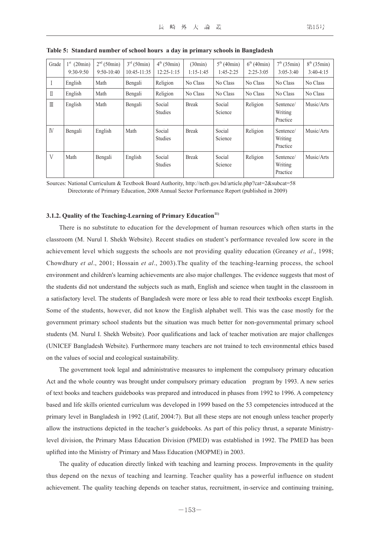| Grade        | $1^{\rm st}$<br>(20min)<br>$9:30-9:50$ | $2nd$ (50min)<br>$9:50-10:40$ | $3rd$ (50min)<br>$10:45-11:35$ | $4^{th}$ (50min)<br>$12:25 - 1:15$ | (30min)<br>$1:15-1:45$ | 5 <sup>th</sup> (40min)<br>$1:45-2:25$ | $6^{th}$ (40min)<br>$2:25-3:05$ | $7^{th}$ (35min)<br>$3:05-3:40$  | $8^{th}$ (35min)<br>$3:40-4:15$ |
|--------------|----------------------------------------|-------------------------------|--------------------------------|------------------------------------|------------------------|----------------------------------------|---------------------------------|----------------------------------|---------------------------------|
| $\mathbf{I}$ | English                                | Math                          | Bengali                        | Religion                           | No Class               | No Class                               | No Class                        | No Class                         | No Class                        |
| $\mathbb{I}$ | English                                | Math                          | Bengali                        | Religion                           | No Class               | No Class                               | No Class                        | No Class                         | No Class                        |
| $\mathbb{I}$ | English                                | Math                          | Bengali                        | Social<br><b>Studies</b>           | <b>Break</b>           | Social<br>Science                      | Religion                        | Sentence/<br>Writing<br>Practice | Music/Arts                      |
| <b>IV</b>    | Bengali                                | English                       | Math                           | Social<br><b>Studies</b>           | <b>Break</b>           | Social<br>Science                      | Religion                        | Sentence/<br>Writing<br>Practice | Music/Arts                      |
| $\mathbf{V}$ | Math                                   | Bengali                       | English                        | Social<br><b>Studies</b>           | <b>Break</b>           | Social<br>Science                      | Religion                        | Sentence/<br>Writing<br>Practice | Music/Arts                      |

| Table 5: Standard number of school hours a day in primary schools in Bangladesh |  |  |  |  |  |  |
|---------------------------------------------------------------------------------|--|--|--|--|--|--|
|                                                                                 |  |  |  |  |  |  |

Sources: National Curriculum & Textbook Board Authority, http://nctb.gov.bd/article.php?cat=2&subcat=58 Directorate of Primary Education, 2008 Annual Sector Performance Report (published in 2009)

#### **3.1.2. Quality of the Teaching-Learning of Primary Education**<sup>11)</sup>

There is no substitute to education for the development of human resources which often starts in the classroom (M. Nurul I. Shekh Website). Recent studies on student's performance revealed low score in the achievement level which suggests the schools are not providing quality education (Greaney *et al*., 1998; Chowdhury *et al*., 2001; Hossain *et al*., 2003).The quality of the teaching-learning process, the school environment and children's learning achievements are also major challenges. The evidence suggests that most of the students did not understand the subjects such as math, English and science when taught in the classroom in a satisfactory level. The students of Bangladesh were more or less able to read their textbooks except English. Some of the students, however, did not know the English alphabet well. This was the case mostly for the government primary school students but the situation was much better for non-governmental primary school students (M. Nurul I. Shekh Website). Poor qualifications and lack of teacher motivation are major challenges (UNICEF Bangladesh Website). Furthermore many teachers are not trained to tech environmental ethics based on the values of social and ecological sustainability.

The government took legal and administrative measures to implement the compulsory primary education Act and the whole country was brought under compulsory primary education program by 1993. A new series of text books and teachers guidebooks was prepared and introduced in phases from 1992 to 1996. A competency based and life skills oriented curriculum was developed in 1999 based on the 53 competencies introduced at the primary level in Bangladesh in 1992 (Latif, 2004:7). But all these steps are not enough unless teacher properly allow the instructions depicted in the teacher's guidebooks. As part of this policy thrust, a separate Ministrylevel division, the Primary Mass Education Division (PMED) was established in 1992. The PMED has been uplifted into the Ministry of Primary and Mass Education (MOPME) in 2003.

The quality of education directly linked with teaching and learning process. Improvements in the quality thus depend on the nexus of teaching and learning. Teacher quality has a powerful influence on student achievement. The quality teaching depends on teacher status, recruitment, in-service and continuing training,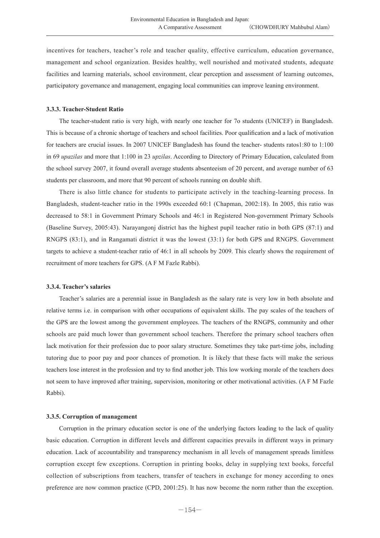incentives for teachers, teacher's role and teacher quality, effective curriculum, education governance, management and school organization. Besides healthy, well nourished and motivated students, adequate facilities and learning materials, school environment, clear perception and assessment of learning outcomes, participatory governance and management, engaging local communities can improve leaning environment.

# **3.3.3. Teacher-Student Ratio**

The teacher-student ratio is very high, with nearly one teacher for 7o students (UNICEF) in Bangladesh. This is because of a chronic shortage of teachers and school facilities. Poor qualification and a lack of motivation for teachers are crucial issues. In 2007 UNICEF Bangladesh has found the teacher- students ratos1:80 to 1:100 in 69 *upazilas* and more that 1:100 in 23 *upzilas*. According to Directory of Primary Education, calculated from the school survey 2007, it found overall average students absenteeism of 20 percent, and average number of 63 students per classroom, and more that 90 percent of schools running on double shift.

There is also little chance for students to participate actively in the teaching-learning process. In Bangladesh, student-teacher ratio in the 1990s exceeded 60:1 (Chapman, 2002:18). In 2005, this ratio was decreased to 58:1 in Government Primary Schools and 46:1 in Registered Non-government Primary Schools (Baseline Survey, 2005:43). Narayangonj district has the highest pupil teacher ratio in both GPS (87:1) and RNGPS (83:1), and in Rangamati district it was the lowest (33:1) for both GPS and RNGPS. Government targets to achieve a student-teacher ratio of 46:1 in all schools by 2009. This clearly shows the requirement of recruitment of more teachers for GPS. (A F M Fazle Rabbi).

#### **3.3.4. Teacher's salaries**

Teacher's salaries are a perennial issue in Bangladesh as the salary rate is very low in both absolute and relative terms i.e. in comparison with other occupations of equivalent skills. The pay scales of the teachers of the GPS are the lowest among the government employees. The teachers of the RNGPS, community and other schools are paid much lower than government school teachers. Therefore the primary school teachers often lack motivation for their profession due to poor salary structure. Sometimes they take part-time jobs, including tutoring due to poor pay and poor chances of promotion. It is likely that these facts will make the serious teachers lose interest in the profession and try to find another job. This low working morale of the teachers does not seem to have improved after training, supervision, monitoring or other motivational activities. (A F M Fazle Rabbi).

### **3.3.5. Corruption of management**

Corruption in the primary education sector is one of the underlying factors leading to the lack of quality basic education. Corruption in different levels and different capacities prevails in different ways in primary education. Lack of accountability and transparency mechanism in all levels of management spreads limitless corruption except few exceptions. Corruption in printing books, delay in supplying text books, forceful collection of subscriptions from teachers, transfer of teachers in exchange for money according to ones preference are now common practice (CPD, 2001:25). It has now become the norm rather than the exception.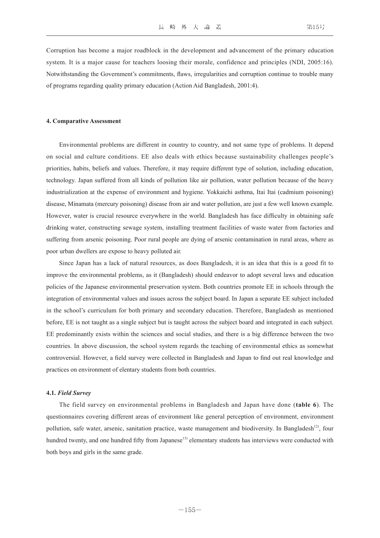Corruption has become a major roadblock in the development and advancement of the primary education system. It is a major cause for teachers loosing their morale, confidence and principles (NDI, 2005:16). Notwithstanding the Government's commitments, flaws, irregularities and corruption continue to trouble many of programs regarding quality primary education (Action Aid Bangladesh, 2001:4).

#### **4. Comparative Assessment**

Environmental problems are different in country to country, and not same type of problems. It depend on social and culture conditions. EE also deals with ethics because sustainability challenges people's priorities, habits, beliefs and values. Therefore, it may require different type of solution, including education, technology. Japan suffered from all kinds of pollution like air pollution, water pollution because of the heavy industrialization at the expense of environment and hygiene. Yokkaichi asthma, Itai Itai (cadmium poisoning) disease, Minamata (mercury poisoning) disease from air and water pollution, are just a few well known example. However, water is crucial resource everywhere in the world. Bangladesh has face difficulty in obtaining safe drinking water, constructing sewage system, installing treatment facilities of waste water from factories and suffering from arsenic poisoning. Poor rural people are dying of arsenic contamination in rural areas, where as poor urban dwellers are expose to heavy polluted air.

Since Japan has a lack of natural resources, as does Bangladesh, it is an idea that this is a good fit to improve the environmental problems, as it (Bangladesh) should endeavor to adopt several laws and education policies of the Japanese environmental preservation system. Both countries promote EE in schools through the integration of environmental values and issues across the subject board. In Japan a separate EE subject included in the school's curriculum for both primary and secondary education. Therefore, Bangladesh as mentioned before, EE is not taught as a single subject but is taught across the subject board and integrated in each subject. EE predominantly exists within the sciences and social studies, and there is a big difference between the two countries. In above discussion, the school system regards the teaching of environmental ethics as somewhat controversial. However, a field survey were collected in Bangladesh and Japan to find out real knowledge and practices on environment of elentary students from both countries.

#### **4.1.** *Field Survey*

The field survey on environmental problems in Bangladesh and Japan have done (**table 6**). The questionnaires covering different areas of environment like general perception of environment, environment pollution, safe water, arsenic, sanitation practice, waste management and biodiversity. In Bangladesh<sup>12)</sup>, four hundred twenty, and one hundred fifty from Japanese<sup>13)</sup> elementary students has interviews were conducted with both boys and girls in the same grade.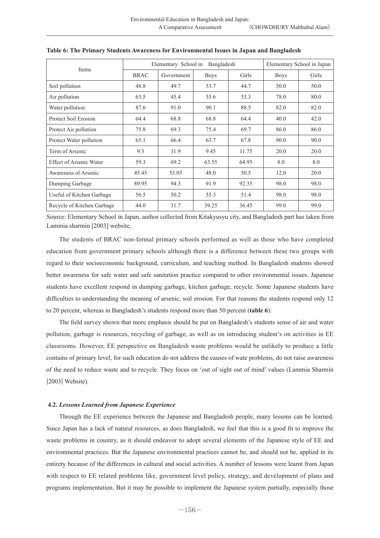| Items                          |             | Elementary School in | Elementary School in Japan |       |             |       |
|--------------------------------|-------------|----------------------|----------------------------|-------|-------------|-------|
|                                | <b>BRAC</b> | Government           | <b>Boys</b>                | Girls | <b>Boys</b> | Girls |
| Soil pollution                 | 48.8        | 49.7                 | 53.7                       | 44.7  | 50.0        | 50.0  |
| Air pollution                  | 63.5        | 45.4                 | 55.6                       | 53.3  | 78.0        | 80.0  |
| Water pollution                | 87.6        | 91.0                 | 90.1                       | 88.5  | 82.0        | 82.0  |
| Protect Soil Erosion           | 64.4        | 68.8                 | 68.8                       | 64.4  | 40.0        | 42.0  |
| Protect Air pollution          | 75.8        | 69.3                 | 75.4                       | 69.7  | 86.0        | 86.0  |
| Protect Water pollution        | 65.1        | 66.4                 | 63.7                       | 67.8  | 90.0        | 90.0  |
| Term of Arsenic                | 9.3         | 11.9                 | 9.45                       | 11.75 | 20.0        | 20.0  |
| <b>Effect of Arsenic Water</b> | 59.3        | 69.2                 | 63.55                      | 64.95 | 8.0         | 8.0   |
| Awareness of Arsenic           | 45.45       | 53.05                | 48.0                       | 50.5  | 12.0        | 20.0  |
| Dumping Garbage                | 89.95       | 94.3                 | 91.9                       | 92.35 | 98.0        | 98.0  |
| Useful of Kitchen Garbage      | 56.5        | 50.2                 | 55.3                       | 51.4  | 98.0        | 98.0  |
| Recycle of Kitchen Garbage     | 44.0        | 31.7                 | 39.25                      | 36.45 | 99.0        | 99.0  |

**Table 6: The Primary Students Awareness for Environmental Issues in Japan and Bangladesh**

Source: Elementary School in Japan, author collected from Kitakyusyu city, and Bangladesh part has taken from Lammia sharmin [2003] website.

The students of BRAC non-formal primary schools performed as well as those who have completed education from government primary schools although there is a difference between these two groups with regard to their socioeconomic background, curriculum, and teaching method. In Bangladesh students showed better awareness for safe water and safe sanitation practice compared to other environmental issues. Japanese students have excellent respond in dumping garbage, kitchen garbage, recycle. Some Japanese students have difficulties to understanding the meaning of arsenic, soil erosion. For that reasons the students respond only 12 to 20 percent, whereas in Bangladesh's students respond more than 50 percent (**table 6**).

The field survey shown that more emphasis should be put on Bangladesh's students sense of air and water pollution, garbage is resources, recycling of garbage, as well as on introducing student's on activities in EE classrooms. However, EE perspective on Bangladesh waste problems would be unlikely to produce a little contains of primary level, for such education do not address the causes of wate problems, do not raise awareness of the need to reduce waste and to recycle. They focus on 'out of sight out of mind' values (Lammia Sharmin [2003] Website).

#### **4.2.** *Lessons Learned from Japanese Experience*

Through the EE experience between the Japanese and Bangladesh people, many lessons can be learned. Since Japan has a lack of natural resources, as does Bangladesh, we feel that this is a good fit to improve the waste problems in country, as it should endeavor to adopt several elements of the Japanese style of EE and environmental practices. But the Japanese environmental practices cannot be, and should not be, applied in its entirety because of the differences in cultural and social activities. A number of lessons were learnt from Japan with respect to EE related problems like, government level policy, strategy, and development of plans and programs implementation. But it may be possible to implement the Japanese system partially, especially those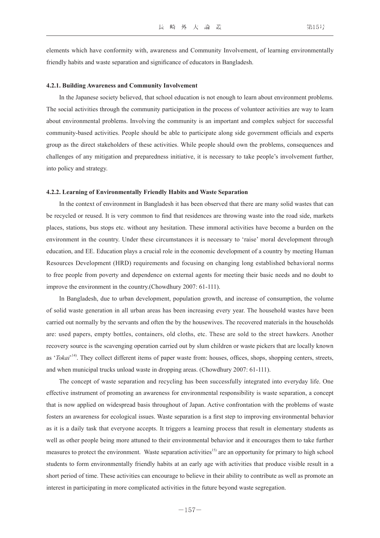elements which have conformity with, awareness and Community Involvement, of learning environmentally friendly habits and waste separation and significance of educators in Bangladesh.

#### **4.2.1. Building Awareness and Community Involvement**

In the Japanese society believed, that school education is not enough to learn about environment problems. The social activities through the community participation in the process of volunteer activities are way to learn about environmental problems. Involving the community is an important and complex subject for successful community-based activities. People should be able to participate along side government officials and experts group as the direct stakeholders of these activities. While people should own the problems, consequences and challenges of any mitigation and preparedness initiative, it is necessary to take people's involvement further, into policy and strategy.

#### **4.2.2. Learning of Environmentally Friendly Habits and Waste Separation**

In the context of environment in Bangladesh it has been observed that there are many solid wastes that can be recycled or reused. It is very common to find that residences are throwing waste into the road side, markets places, stations, bus stops etc. without any hesitation. These immoral activities have become a burden on the environment in the country. Under these circumstances it is necessary to 'raise' moral development through education, and EE. Education plays a crucial role in the economic development of a country by meeting Human Resources Development (HRD) requirements and focusing on changing long established behavioral norms to free people from poverty and dependence on external agents for meeting their basic needs and no doubt to improve the environment in the country.(Chowdhury 2007: 61-111).

In Bangladesh, due to urban development, population growth, and increase of consumption, the volume of solid waste generation in all urban areas has been increasing every year. The household wastes have been carried out normally by the servants and often the by the housewives. The recovered materials in the households are: used papers, empty bottles, containers, old cloths, etc. These are sold to the street hawkers. Another recovery source is the scavenging operation carried out by slum children or waste pickers that are locally known as '*Tokai*<sup>'14)</sup>. They collect different items of paper waste from: houses, offices, shops, shopping centers, streets, and when municipal trucks unload waste in dropping areas. (Chowdhury 2007: 61-111).

The concept of waste separation and recycling has been successfully integrated into everyday life. One effective instrument of promoting an awareness for environmental responsibility is waste separation, a concept that is now applied on widespread basis throughout of Japan. Active confrontation with the problems of waste fosters an awareness for ecological issues. Waste separation is a first step to improving environmental behavior as it is a daily task that everyone accepts. It triggers a learning process that result in elementary students as well as other people being more attuned to their environmental behavior and it encourages them to take further measures to protect the environment. Waste separation activities<sup>15)</sup> are an opportunity for primary to high school students to form environmentally friendly habits at an early age with activities that produce visible result in a short period of time. These activities can encourage to believe in their ability to contribute as well as promote an interest in participating in more complicated activities in the future beyond waste segregation.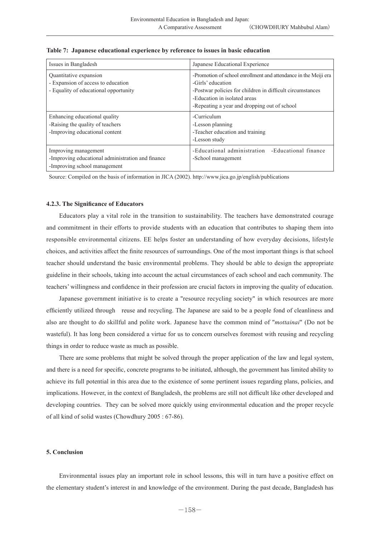| Issues in Bangladesh                                                                                      | Japanese Educational Experience                                                                                                                                                                                                   |
|-----------------------------------------------------------------------------------------------------------|-----------------------------------------------------------------------------------------------------------------------------------------------------------------------------------------------------------------------------------|
| Quantitative expansion<br>- Expansion of access to education<br>- Equality of educational opportunity     | -Promotion of school enrollment and attendance in the Meiji era<br>-Girls' education<br>-Postwar policies for children in difficult circumstances<br>-Education in isolated areas<br>-Repeating a year and dropping out of school |
| Enhancing educational quality<br>-Raising the quality of teachers<br>-Improving educational content       | -Curriculum<br>-Lesson planning<br>-Teacher education and training<br>-Lesson study                                                                                                                                               |
| Improving management<br>-Improving educational administration and finance<br>-Improving school management | -Educational administration -Educational finance<br>-School management                                                                                                                                                            |

## **Table 7: Japanese educational experience by reference to issues in basic education**

Source: Compiled on the basis of information in JICA (2002). http://www.jica.go.jp/english/publications

#### **4.2.3. The Significance of Educators**

Educators play a vital role in the transition to sustainability. The teachers have demonstrated courage and commitment in their efforts to provide students with an education that contributes to shaping them into responsible environmental citizens. EE helps foster an understanding of how everyday decisions, lifestyle choices, and activities affect the finite resources of surroundings. One of the most important things is that school teacher should understand the basic environmental problems. They should be able to design the appropriate guideline in their schools, taking into account the actual circumstances of each school and each community. The teachers' willingness and confidence in their profession are crucial factors in improving the quality of education.

Japanese government initiative is to create a "resource recycling society" in which resources are more efficiently utilized through reuse and recycling. The Japanese are said to be a people fond of cleanliness and also are thought to do skillful and polite work. Japanese have the common mind of "*mottainai*" (Do not be wasteful). It has long been considered a virtue for us to concern ourselves foremost with reusing and recycling things in order to reduce waste as much as possible.

There are some problems that might be solved through the proper application of the law and legal system, and there is a need for specific, concrete programs to be initiated, although, the government has limited ability to achieve its full potential in this area due to the existence of some pertinent issues regarding plans, policies, and implications. However, in the context of Bangladesh, the problems are still not difficult like other developed and developing countries. They can be solved more quickly using environmental education and the proper recycle of all kind of solid wastes (Chowdhury 2005 : 67-86).

# **5. Conclusion**

Environmental issues play an important role in school lessons, this will in turn have a positive effect on the elementary student's interest in and knowledge of the environment. During the past decade, Bangladesh has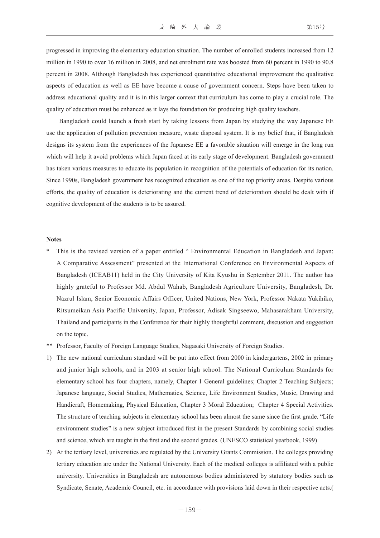progressed in improving the elementary education situation. The number of enrolled students increased from 12 million in 1990 to over 16 million in 2008, and net enrolment rate was boosted from 60 percent in 1990 to 90.8 percent in 2008. Although Bangladesh has experienced quantitative educational improvement the qualitative aspects of education as well as EE have become a cause of government concern. Steps have been taken to address educational quality and it is in this larger context that curriculum has come to play a crucial role. The quality of education must be enhanced as it lays the foundation for producing high quality teachers.

Bangladesh could launch a fresh start by taking lessons from Japan by studying the way Japanese EE use the application of pollution prevention measure, waste disposal system. It is my belief that, if Bangladesh designs its system from the experiences of the Japanese EE a favorable situation will emerge in the long run which will help it avoid problems which Japan faced at its early stage of development. Bangladesh government has taken various measures to educate its population in recognition of the potentials of education for its nation. Since 1990s, Bangladesh government has recognized education as one of the top priority areas. Despite various efforts, the quality of education is deteriorating and the current trend of deterioration should be dealt with if cognitive development of the students is to be assured.

#### **Notes**

- This is the revised version of a paper entitled " Environmental Education in Bangladesh and Japan: A Comparative Assessment" presented at the International Conference on Environmental Aspects of Bangladesh (ICEAB11) held in the City University of Kita Kyushu in September 2011. The author has highly grateful to Professor Md. Abdul Wahab, Bangladesh Agriculture University, Bangladesh, Dr. Nazrul Islam, Senior Economic Affairs Officer, United Nations, New York, Professor Nakata Yukihiko, Ritsumeikan Asia Pacific University, Japan, Professor, Adisak Singseewo, Mahasarakham University, Thailand and participants in the Conference for their highly thoughtful comment, discussion and suggestion on the topic.
- \*\* Professor, Faculty of Foreign Language Studies, Nagasaki University of Foreign Studies.
- 1) The new national curriculum standard will be put into effect from 2000 in kindergartens, 2002 in primary and junior high schools, and in 2003 at senior high school. The National Curriculum Standards for elementary school has four chapters, namely, Chapter 1 General guidelines; Chapter 2 Teaching Subjects; Japanese language, Social Studies, Mathematics, Science, Life Environment Studies, Music, Drawing and Handicraft, Homemaking, Physical Education, Chapter 3 Moral Education; Chapter 4 Special Activities. The structure of teaching subjects in elementary school has been almost the same since the first grade. "Life environment studies" is a new subject introduced first in the present Standards by combining social studies and science, which are taught in the first and the second grades. (UNESCO statistical yearbook, 1999)
- 2) At the tertiary level, universities are regulated by the University Grants Commission. The colleges providing tertiary education are under the National University. Each of the medical colleges is affiliated with a public university. Universities in Bangladesh are autonomous bodies administered by statutory bodies such as Syndicate, Senate, Academic Council, etc. in accordance with provisions laid down in their respective acts.(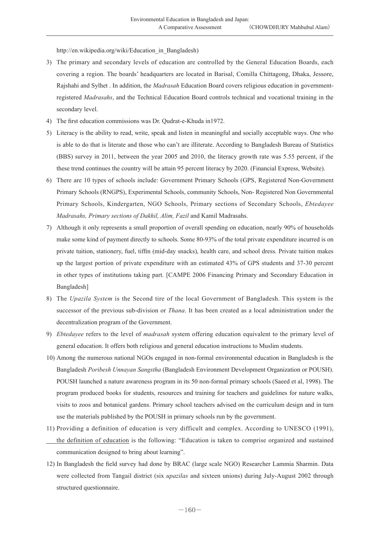http://en.wikipedia.org/wiki/Education\_in\_Bangladesh)

- 3) The primary and secondary levels of education are controlled by the General Education Boards, each covering a region. The boards' headquarters are located in Barisal, Comilla Chittagong, Dhaka, Jessore, Rajshahi and Sylhet . In addition, the *Madrasah* Education Board covers religious education in governmentregistered *Madrasahs*, and the Technical Education Board controls technical and vocational training in the secondary level.
- 4) The first education commissions was Dr. Qudrat-e-Khuda in1972.
- 5) Literacy is the ability to read, write, speak and listen in meaningful and socially acceptable ways. One who is able to do that is literate and those who can't are illiterate. According to Bangladesh Bureau of Statistics (BBS) survey in 2011, between the year 2005 and 2010, the literacy growth rate was 5.55 percent, if the these trend continues the country will be attain 95 percent literacy by 2020. (Financial Express, Website).
- 6) There are 10 types of schools include: Government Primary Schools (GPS, Registered Non-Government Primary Schools (RNGPS), Experimental Schools, community Schools, Non- Registered Non Governmental Primary Schools, Kindergarten, NGO Schools, Primary sections of Secondary Schools, *Ebtedayee Madrasahs, Primary sections of Dakhil, Alim, Fazil* and Kamil Madrasahs.
- 7) Although it only represents a small proportion of overall spending on education, nearly 90% of households make some kind of payment directly to schools. Some 80-93% of the total private expenditure incurred is on private tuition, stationery, fuel, tiffin (mid-day snacks), health care, and school dress. Private tuition makes up the largest portion of private expenditure with an estimated 43% of GPS students and 37-30 percent in other types of institutions taking part. [CAMPE 2006 Financing Primary and Secondary Education in Bangladesh]
- 8) The *Upazila System* is the Second tire of the local Government of Bangladesh. This system is the successor of the previous sub-division or *Thana*. It has been created as a local administration under the decentralization program of the Government.
- 9) *Ebtedayee* refers to the level of *madrasah* system offering education equivalent to the primary level of general education. It offers both religious and general education instructions to Muslim students.
- 10) Among the numerous national NGOs engaged in non-formal environmental education in Bangladesh is the Bangladesh *Poribesh Unnayan Sangstha* (Bangladesh Environment Development Organization or POUSH). POUSH launched a nature awareness program in its 50 non-formal primary schools (Saeed et al, 1998). The program produced books for students, resources and training for teachers and guidelines for nature walks, visits to zoos and botanical gardens. Primary school teachers advised on the curriculum design and in turn use the materials published by the POUSH in primary schools run by the government.
- 11) Providing a definition of education is very difficult and complex. According to UNESCO (1991), the definition of education is the following: "Education is taken to comprise organized and sustained communication designed to bring about learning".
- 12) In Bangladesh the field survey had done by BRAC (large scale NGO) Researcher Lammia Sharmin. Data were collected from Tangail district (six *upazilas* and sixteen unions) during July-August 2002 through structured questionnaire.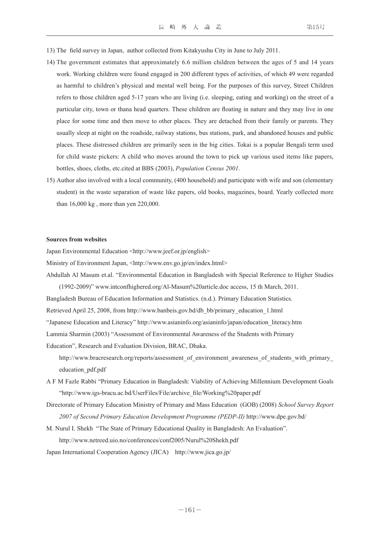- 13) The field survey in Japan, author collected from Kitakyushu City in June to July 2011.
- 14) The government estimates that approximately 6.6 million children between the ages of 5 and 14 years work. Working children were found engaged in 200 different types of activities, of which 49 were regarded as harmful to children's physical and mental well being. For the purposes of this survey, Street Children refers to those children aged 5-17 years who are living (i.e. sleeping, eating and working) on the street of a particular city, town or thana head quarters. These children are floating in nature and they may live in one place for some time and then move to other places. They are detached from their family or parents. They usually sleep at night on the roadside, railway stations, bus stations, park, and abandoned houses and public places. These distressed children are primarily seen in the big cities. Tokai is a popular Bengali term used for child waste pickers: A child who moves around the town to pick up various used items like papers, bottles, shoes, cloths, etc.cited at BBS (2003), *Population Census 2001*.
- 15) Author also involved with a local community, (400 household) and participate with wife and son (elementary student) in the waste separation of waste like papers, old books, magazines, board. Yearly collected more than 16,000 kg , more than yen 220,000.

#### **Sources from websites**

Japan Environmental Education <http://www.jeef.or.jp/english>

- Ministry of Environment Japan, <http://www.env.go.jp/en/index.html>
- Abdullah Al Masum et.al. "Environmental Education in Bangladesh with Special Reference to Higher Studies
	- (1992-2009)" www.intconfhighered.org/Al-Masum%20article.doc access, 15 th March, 2011.

Bangladesh Bureau of Education Information and Statistics. (n.d.). Primary Education Statistics.

Retrieved April 25, 2008, from http://www.banbeis.gov.bd/db\_bb/primary\_education\_1.html

"Japanese Education and Literacy" http://www.asianinfo.org/asianinfo/japan/education\_literacy.htm

Lammia Sharmin (2003) "Assessment of Environmental Awareness of the Students with Primary

Education", Research and Evaluation Division, BRAC, Dhaka.

- http://www.bracresearch.org/reports/assessment of environment awareness of students with primary education\_pdf.pdf
- A F M Fazle Rabbi "Primary Education in Bangladesh: Viability of Achieving Millennium Development Goals "http://www.igs-bracu.ac.bd/UserFiles/File/archive\_file/Working%20paper.pdf
- Directorate of Primary Education Ministry of Primary and Mass Education (GOB) (2008) *School Survey Report 2007 of Second Primary Education Development Programme (PEDP-II)* http://www.dpe.gov.bd/
- M. Nurul I. Shekh "The State of Primary Educational Quality in Bangladesh: An Evaluation". http://www.netreed.uio.no/conferences/conf2005/Nurul%20Shekh.pdf
- Japan International Cooperation Agency (JICA) http://www.jica.go.jp/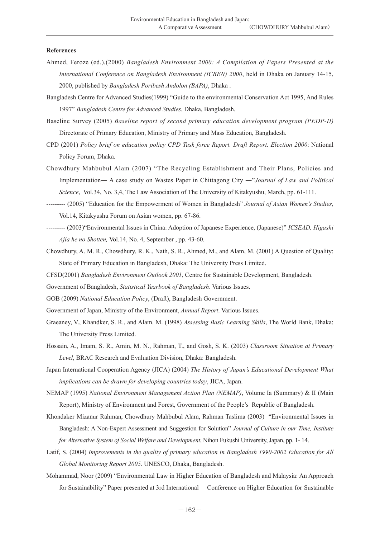#### **References**

- Ahmed, Feroze (ed.),(2000) *Bangladesh Environment 2000: A Compilation of Papers Presented at the International Conference on Bangladesh Environment (ICBEN) 2000*, held in Dhaka on January 14-15, 2000, published by *Bangladesh Poribesh Andolon (BAPA)*, Dhaka .
- Bangladesh Centre for Advanced Studies(1999) "Guide to the environmental Conservation Act 1995, And Rules 1997" *Bangladesh Centre for Advanced Studies*, Dhaka, Bangladesh.
- Baseline Survey (2005) *Baseline report of second primary education development program (PEDP-II)*  Directorate of Primary Education, Ministry of Primary and Mass Education, Bangladesh.
- CPD (2001) *Policy brief on education policy CPD Task force Report. Draft Report. Election 2000*: National Policy Forum, Dhaka.
- Chowdhury Mahbubul Alam (2007) "The Recycling Establishment and Their Plans, Policies and Implementation― A case study on Wastes Paper in Chittagong City ―"*Journal of Law and Political Science*, Vol.34, No. 3,4, The Law Association of The University of Kitakyushu, March, pp. 61-111.
- --------- (2005) "Education for the Empowerment of Women in Bangladesh" *Journal of Asian Women's Studies*, Vol.14, Kitakyushu Forum on Asian women, pp. 67-86.
- --------- (2003)"Environmental Issues in China: Adoption of Japanese Experience, (Japanese)" *ICSEAD, Higashi Ajia he no Shotten,* Vol.14, No. 4, September , pp. 43-60.
- Chowdhury, A. M. R., Chowdhury, R. K., Nath, S. R., Ahmed, M., and Alam, M. (2001) A Question of Quality: State of Primary Education in Bangladesh, Dhaka: The University Press Limited.
- CFSD(2001) *Bangladesh Environment Outlook 2001*, Centre for Sustainable Development, Bangladesh.
- Government of Bangladesh, *Statistical Yearbook of Bangladesh*. Various Issues.
- GOB (2009) *National Education Policy*, (Draft), Bangladesh Government.
- Government of Japan, Ministry of the Environment, *Annual Report*. Various Issues.
- Graeaney, V., Khandker, S. R., and Alam. M. (1998) *Assessing Basic Learning Skills*, The World Bank, Dhaka: The University Press Limited.
- Hossain, A., Imam, S. R., Amin, M. N., Rahman, T., and Gosh, S. K. (2003) *Classroom Situation at Primary Level*, BRAC Research and Evaluation Division, Dhaka: Bangladesh.
- Japan International Cooperation Agency (JICA) (2004) *The History of Japan's Educational Development What implications can be drawn for developing countries today*, JICA, Japan.
- NEMAP (1995) *National Environment Management Action Plan (NEMAP)*, Volume Ia (Summary) & II (Main Report), Ministry of Environment and Forest, Government of the People's Republic of Bangladesh.
- Khondaker Mizanur Rahman, Chowdhury Mahbubul Alam, Rahman Taslima (2003) "Environmental Issues in Bangladesh: A Non-Expert Assessment and Suggestion for Solution" *Journal of Culture in our Time, Institute for Alternative System of Social Welfare and Development*, Nihon Fukushi University, Japan, pp. 1- 14.
- Latif, S. (2004) *Improvements in the quality of primary education in Bangladesh 1990-2002 Education for All Global Monitoring Report 2005*. UNESCO, Dhaka, Bangladesh.
- Mohammad, Noor (2009) "Environmental Law in Higher Education of Bangladesh and Malaysia: An Approach for Sustainability" Paper presented at 3rd International Conference on Higher Education for Sustainable